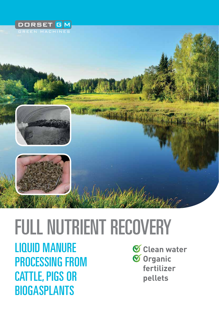





# FULL NUTRIENT RECOVERY

LIQUID MANURE processing from cattle, pigs OR **BIOGASPLANTS** 

**Clean water Organic fertilizer pellets**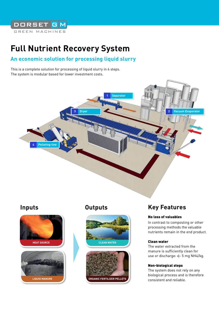

## **Full Nutrient Recovery System**

#### **An economic solution for processing liquid slurry**

This is a complete solution for processing of liquid slurry in 4 steps. The system is modular based for lower investment costs.





#### **Inputs Outputs**



## **Key Features**

#### No loss of valuables

In contrast to composting or other processing methods the valuable nutrients remain in the end product.

#### Clean water

The water extracted from the manure is sufficiently clean for use or discharge:  $\leftarrow$  5 mg NH4/kg.

#### Non-biological steps

The system does not rely on any biological process and is therefore consistent and reliable.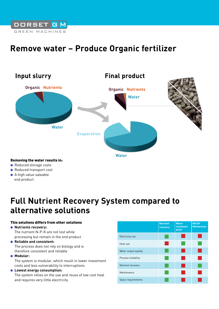

## **Remove water – Produce Organic fertilizer**



● A high value saleable end product

## **Full Nutrient Recovery System compared to alternative solutions**

#### This solutions differs from other solutions

- **Nutrients recovery:** The nutrient N-P-K are not lost while processing but remain in the end product
- **Reliable and consistent:**

The process does not rely on biology and is therefore consistent and reliable

● **Modular:**

The system is modular, which result in lower investment costs and less vulnerability to interruptions

#### ● **Lowest energy consumption:**

The system relies on the use and reuse of low cost heat and requires very little electricity

|                      | <b>Nutrient</b><br>recovery | <b>Water</b><br>treatment<br>plant | <b>RO/UF</b><br><b>Membranes</b> |
|----------------------|-----------------------------|------------------------------------|----------------------------------|
| Electricity use      |                             |                                    |                                  |
| Heat use             |                             |                                    |                                  |
| Water output quality |                             |                                    |                                  |
| Process reliability  |                             |                                    |                                  |
| Nutrient recovery    |                             |                                    |                                  |
| Maintenance          |                             |                                    |                                  |
| Space requirements   |                             |                                    |                                  |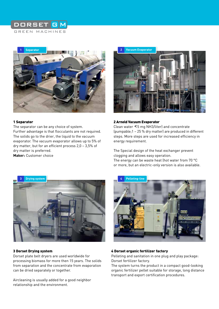#### **DORSET** GREEN MACHINES



#### 1 Separator

The separator can be any choice of system. Further advantage is that flocculants are not required. The solids go to the drier, the liquid to the vacuum evaporator. The vacuum evaporator allows up to 5% of dry matter, but for an efficient process 2,0 – 3,5% of dry matter is preferred. **Maker:** Customer choice



#### 2 Arnold Vacuum Evaporator

Clean water <5 mg NH3/liter) and concentrate (pumpable;1 – 25 % dry matter) are produced in different steps. More steps are used for increased efficiency in energy requirement.

The Special design of the heat exchanger prevent clogging and allows easy operation. The energy can be waste heat (hot water from 70 °C or more, but an electric-only version is also available.



#### 3 Dorset Drying system

Dorset plate belt dryers are used worldwide for processing biomass for more then 15 years. The solids from separation and the concentrate from evaporation can be dried separately or together.

Aircleaning is usually added for a good neighbor relationship and the environment.



#### 4 Dorset organic fertilizer factory

Pelleting and sanitation in one plug and play package: Dorset fertilizer factory.

The system turns the product in a compact good-looking organic fertilizer pellet suitable for storage, long distance transport and export certification procedures.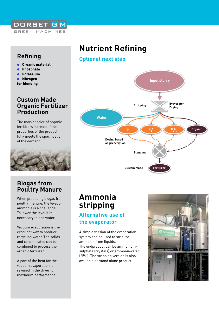

### **Refining**

- Organic material
- **Phosphate**
- **Potassium**
- ● Nitrogen
- for blending

#### **Custom Made Organic Fertilizer Production**

The market price of organic fertilizers increase if the properties of the product fully meets the specification of the demand.



## **Nutrient Refining**

#### **Optional next step**



#### **Biogas from Poultry Manure**

When producing biogas from poultry manure, the level of ammonia is a challenge. To lower the level it is necessary to add water.

Vacuum evaporation is the excellent way to produce recycling water. The solids and concentrates can be combined to process the organic fertilizer.

A part of the heat for the vacuum evaporation is re-used in the dryer for maximum performance.

## **Ammonia stripping Alternative use of**

## **the evaporator**

A simple version of the evaporationsystem can be used to strip the ammonia from liquids. The endproduct can be ammoniumsulphate (crystals) or ammoniawater (25%). The stripping version is also available as stand alone product.